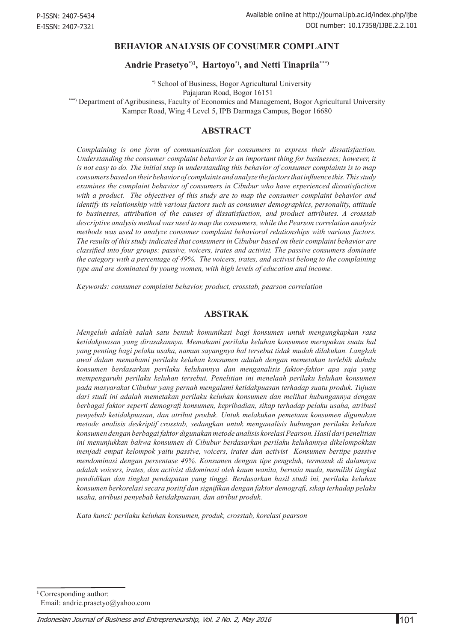#### **BEHAVIOR ANALYSIS OF CONSUMER COMPLAINT**

#### **Andrie Prasetyo\*)1, Hartoyo\*), and Netti Tinaprila\*\*\*)**

 \*) School of Business, Bogor Agricultural University Pajajaran Road, Bogor 16151

\*\*\*) Department of Agribusiness, Faculty of Economics and Management, Bogor Agricultural University Kamper Road, Wing 4 Level 5, IPB Darmaga Campus, Bogor 16680

#### **ABSTRACT**

*Complaining is one form of communication for consumers to express their dissatisfaction. Understanding the consumer complaint behavior is an important thing for businesses; however, it is not easy to do. The initial step in understanding this behavior of consumer complaints is to map consumers based on their behavior of complaints and analyze the factors that influence this. This study examines the complaint behavior of consumers in Cibubur who have experienced dissatisfaction*  with a product. The objectives of this study are to map the consumer complaint behavior and *identify its relationship with various factors such as consumer demographics, personality, attitude to businesses, attribution of the causes of dissatisfaction, and product attributes. A crosstab descriptive analysis method was used to map the consumers, while the Pearson correlation analysis methods was used to analyze consumer complaint behavioral relationships with various factors. The results of this study indicated that consumers in Cibubur based on their complaint behavior are classified into four groups: passive, voicers, irates and activist. The passive consumers dominate the category with a percentage of 49%. The voicers, irates, and activist belong to the complaining type and are dominated by young women, with high levels of education and income.* 

*Keywords: consumer complaint behavior, product, crosstab, pearson correlation*

#### **ABSTRAK**

*Mengeluh adalah salah satu bentuk komunikasi bagi konsumen untuk mengungkapkan rasa ketidakpuasan yang dirasakannya. Memahami perilaku keluhan konsumen merupakan suatu hal yang penting bagi pelaku usaha, namun sayangnya hal tersebut tidak mudah dilakukan. Langkah awal dalam memahami perilaku keluhan konsumen adalah dengan memetakan terlebih dahulu konsumen berdasarkan perilaku keluhannya dan menganalisis faktor-faktor apa saja yang mempengaruhi perilaku keluhan tersebut. Penelitian ini menelaah perilaku keluhan konsumen pada masyarakat Cibubur yang pernah mengalami ketidakpuasan terhadap suatu produk. Tujuan dari studi ini adalah memetakan perilaku keluhan konsumen dan melihat hubungannya dengan berbagai faktor seperti demografi konsumen, kepribadian, sikap terhadap pelaku usaha, atribusi penyebab ketidakpuasan, dan atribut produk. Untuk melakukan pemetaan konsumen digunakan metode analisis deskriptif crosstab, sedangkan untuk menganalisis hubungan perilaku keluhan konsumen dengan berbagai faktor digunakan metode analisis korelasi Pearson. Hasil dari penelitian ini menunjukkan bahwa konsumen di Cibubur berdasarkan perilaku keluhannya dikelompokkan menjadi empat kelompok yaitu passive, voicers, irates dan activist Konsumen bertipe passive mendominasi dengan persentase 49%. Konsumen dengan tipe pengeluh, termasuk di dalamnya adalah voicers, irates, dan activist didominasi oleh kaum wanita, berusia muda, memiliki tingkat pendidikan dan tingkat pendapatan yang tinggi. Berdasarkan hasil studi ini, perilaku keluhan konsumen berkorelasi secara positif dan signifikan dengan faktor demografi, sikap terhadap pelaku usaha, atribusi penyebab ketidakpuasan, dan atribut produk.*

*Kata kunci: perilaku keluhan konsumen, produk, crosstab, korelasi pearson*

**<sup>1</sup>**Corresponding author: Email: andrie.prasetyo@yahoo.com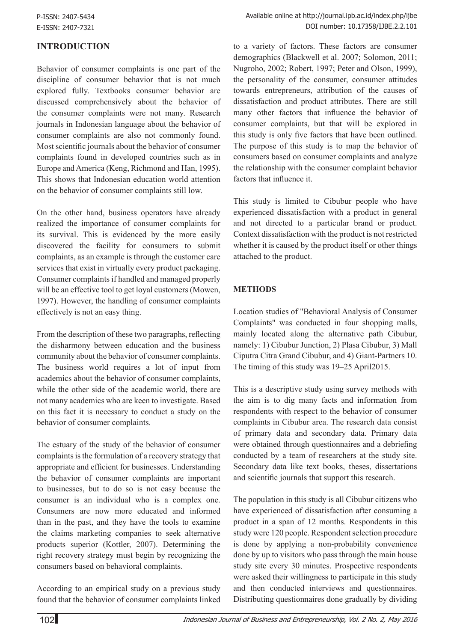# **INTRODUCTION**

Behavior of consumer complaints is one part of the discipline of consumer behavior that is not much explored fully. Textbooks consumer behavior are discussed comprehensively about the behavior of the consumer complaints were not many. Research journals in Indonesian language about the behavior of consumer complaints are also not commonly found. Most scientific journals about the behavior of consumer complaints found in developed countries such as in Europe and America (Keng, Richmond and Han, 1995). This shows that Indonesian education world attention on the behavior of consumer complaints still low.

On the other hand, business operators have already realized the importance of consumer complaints for its survival. This is evidenced by the more easily discovered the facility for consumers to submit complaints, as an example is through the customer care services that exist in virtually every product packaging. Consumer complaints if handled and managed properly will be an effective tool to get loyal customers (Mowen, 1997). However, the handling of consumer complaints effectively is not an easy thing.

From the description of these two paragraphs, reflecting the disharmony between education and the business community about the behavior of consumer complaints. The business world requires a lot of input from academics about the behavior of consumer complaints, while the other side of the academic world, there are not many academics who are keen to investigate. Based on this fact it is necessary to conduct a study on the behavior of consumer complaints.

The estuary of the study of the behavior of consumer complaints is the formulation of a recovery strategy that appropriate and efficient for businesses. Understanding the behavior of consumer complaints are important to businesses, but to do so is not easy because the consumer is an individual who is a complex one. Consumers are now more educated and informed than in the past, and they have the tools to examine the claims marketing companies to seek alternative products superior (Kottler, 2007). Determining the right recovery strategy must begin by recognizing the consumers based on behavioral complaints.

According to an empirical study on a previous study found that the behavior of consumer complaints linked to a variety of factors. These factors are consumer demographics (Blackwell et al. 2007; Solomon, 2011; Nugroho, 2002; Robert, 1997; Peter and Olson, 1999), the personality of the consumer, consumer attitudes towards entrepreneurs, attribution of the causes of dissatisfaction and product attributes. There are still many other factors that influence the behavior of consumer complaints, but that will be explored in this study is only five factors that have been outlined. The purpose of this study is to map the behavior of consumers based on consumer complaints and analyze the relationship with the consumer complaint behavior factors that influence it.

This study is limited to Cibubur people who have experienced dissatisfaction with a product in general and not directed to a particular brand or product. Context dissatisfaction with the product is not restricted whether it is caused by the product itself or other things attached to the product.

## **METHODS**

Location studies of "Behavioral Analysis of Consumer Complaints" was conducted in four shopping malls, mainly located along the alternative path Cibubur, namely: 1) Cibubur Junction, 2) Plasa Cibubur, 3) Mall Ciputra Citra Grand Cibubur, and 4) Giant-Partners 10. The timing of this study was 19–25 April2015.

This is a descriptive study using survey methods with the aim is to dig many facts and information from respondents with respect to the behavior of consumer complaints in Cibubur area. The research data consist of primary data and secondary data. Primary data were obtained through questionnaires and a debriefing conducted by a team of researchers at the study site. Secondary data like text books, theses, dissertations and scientific journals that support this research.

The population in this study is all Cibubur citizens who have experienced of dissatisfaction after consuming a product in a span of 12 months. Respondents in this study were 120 people. Respondent selection procedure is done by applying a non-probability convenience done by up to visitors who pass through the main house study site every 30 minutes. Prospective respondents were asked their willingness to participate in this study and then conducted interviews and questionnaires. Distributing questionnaires done gradually by dividing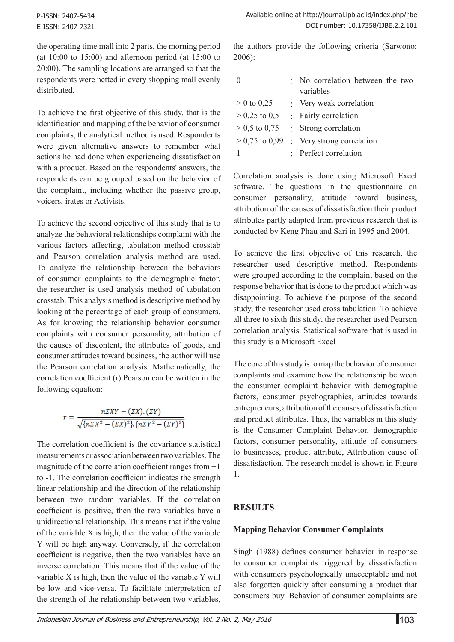the operating time mall into 2 parts, the morning period (at  $10:00$  to  $15:00$ ) and afternoon period (at  $15:00$  to 20:00). The sampling locations are arranged so that the respondents were netted in every shopping mall evenly distributed.

To achieve the first objective of this study, that is the identification and mapping of the behavior of consumer complaints, the analytical method is used. Respondents were given alternative answers to remember what actions he had done when experiencing dissatisfaction with a product. Based on the respondents' answers, the respondents can be grouped based on the behavior of the complaint, including whether the passive group, voicers, irates or Activists.

To achieve the second objective of this study that is to analyze the behavioral relationships complaint with the various factors affecting, tabulation method crosstab and Pearson correlation analysis method are used. To analyze the relationship between the behaviors of consumer complaints to the demographic factor, the researcher is used analysis method of tabulation crosstab. This analysis method is descriptive method by looking at the percentage of each group of consumers. As for knowing the relationship behavior consumer complaints with consumer personality, attribution of the causes of discontent, the attributes of goods, and consumer attitudes toward business, the author will use the Pearson correlation analysis. Mathematically, the correlation coefficient (r) Pearson can be written in the following equation:

$$
r = \frac{n\Sigma XY - (\Sigma X).(\Sigma Y)}{\sqrt{\{n\Sigma X^2 - (\Sigma X)^2\}.\{n\Sigma Y^2 - (\Sigma Y)^2\}}}
$$

The correlation coefficient is the covariance statistical measurements or association between two variables. The magnitude of the correlation coefficient ranges from +1 to -1. The correlation coefficient indicates the strength linear relationship and the direction of the relationship between two random variables. If the correlation coefficient is positive, then the two variables have a unidirectional relationship. This means that if the value of the variable X is high, then the value of the variable Y will be high anyway. Conversely, if the correlation coefficient is negative, then the two variables have an inverse correlation. This means that if the value of the variable X is high, then the value of the variable Y will be low and vice-versa. To facilitate interpretation of the strength of the relationship between two variables,

the authors provide the following criteria (Sarwono: 2006):

|                  | : No correlation between the two<br>variables |
|------------------|-----------------------------------------------|
| $> 0$ to 0,25    | : Very weak correlation                       |
| $> 0.25$ to 0.5  | : Fairly correlation                          |
| $> 0.5$ to 0.75  | : Strong correlation                          |
| $> 0.75$ to 0.99 | : Very strong correlation                     |
|                  | : Perfect correlation                         |

Correlation analysis is done using Microsoft Excel software. The questions in the questionnaire on consumer personality, attitude toward business, attribution of the causes of dissatisfaction their product attributes partly adapted from previous research that is conducted by Keng Phau and Sari in 1995 and 2004.

To achieve the first objective of this research, the researcher used descriptive method. Respondents were grouped according to the complaint based on the response behavior that is done to the product which was disappointing. To achieve the purpose of the second study, the researcher used cross tabulation. To achieve all three to sixth this study, the researcher used Pearson correlation analysis. Statistical software that is used in this study is a Microsoft Excel

The core of this study is to map the behavior of consumer complaints and examine how the relationship between the consumer complaint behavior with demographic factors, consumer psychographics, attitudes towards entrepreneurs, attribution of the causes of dissatisfaction and product attributes. Thus, the variables in this study is the Consumer Complaint Behavior, demographic factors, consumer personality, attitude of consumers to businesses, product attribute, Attribution cause of dissatisfaction. The research model is shown in Figure 1.

## **RESULTS**

## **Mapping Behavior Consumer Complaints**

Singh (1988) defines consumer behavior in response to consumer complaints triggered by dissatisfaction with consumers psychologically unacceptable and not also forgotten quickly after consuming a product that consumers buy. Behavior of consumer complaints are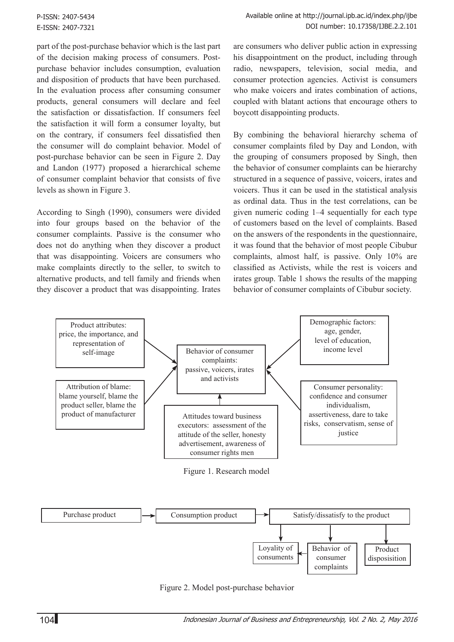P-ISSN: 2407-5434 E-ISSN: 2407-7321

part of the post-purchase behavior which is the last part of the decision making process of consumers. Postpurchase behavior includes consumption, evaluation and disposition of products that have been purchased. In the evaluation process after consuming consumer products, general consumers will declare and feel the satisfaction or dissatisfaction. If consumers feel the satisfaction it will form a consumer loyalty, but on the contrary, if consumers feel dissatisfied then the consumer will do complaint behavior. Model of post-purchase behavior can be seen in Figure 2. Day and Landon (1977) proposed a hierarchical scheme of consumer complaint behavior that consists of five levels as shown in Figure 3.

According to Singh (1990), consumers were divided into four groups based on the behavior of the consumer complaints. Passive is the consumer who does not do anything when they discover a product that was disappointing. Voicers are consumers who make complaints directly to the seller, to switch to alternative products, and tell family and friends when they discover a product that was disappointing. Irates are consumers who deliver public action in expressing his disappointment on the product, including through radio, newspapers, television, social media, and consumer protection agencies. Activist is consumers who make voicers and irates combination of actions, coupled with blatant actions that encourage others to boycott disappointing products.

By combining the behavioral hierarchy schema of consumer complaints filed by Day and London, with the grouping of consumers proposed by Singh, then the behavior of consumer complaints can be hierarchy structured in a sequence of passive, voicers, irates and voicers. Thus it can be used in the statistical analysis as ordinal data. Thus in the test correlations, can be given numeric coding 1–4 sequentially for each type of customers based on the level of complaints. Based on the answers of the respondents in the questionnaire, it was found that the behavior of most people Cibubur complaints, almost half, is passive. Only 10% are classified as Activists, while the rest is voicers and irates group. Table 1 shows the results of the mapping behavior of consumer complaints of Cibubur society.



Figure 1. Research model



Figure 2. Model post-purchase behavior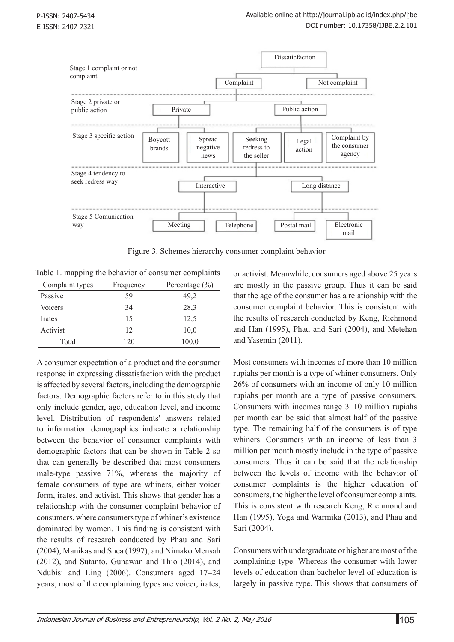

Figure 3. Schemes hierarchy consumer complaint behavior

Table 1. mapping the behavior of consumer complaints

| Complaint types | Frequency | Percentage $(\% )$ |
|-----------------|-----------|--------------------|
| Passive         | 59        | 49,2               |
| Voicers         | 34        | 28,3               |
| Irates          | 15        | 12,5               |
| Activist        | 12        | 10,0               |
| Total           | 120       | 100,0              |

A consumer expectation of a product and the consumer response in expressing dissatisfaction with the product is affected by several factors, including the demographic factors. Demographic factors refer to in this study that only include gender, age, education level, and income level. Distribution of respondents' answers related to information demographics indicate a relationship between the behavior of consumer complaints with demographic factors that can be shown in Table 2 so that can generally be described that most consumers male-type passive 71%, whereas the majority of female consumers of type are whiners, either voicer form, irates, and activist. This shows that gender has a relationship with the consumer complaint behavior of consumers, where consumers type of whiner's existence dominated by women. This finding is consistent with the results of research conducted by Phau and Sari (2004), Manikas and Shea (1997), and Nimako Mensah (2012), and Sutanto, Gunawan and Thio (2014), and Ndubisi and Ling (2006). Consumers aged 17–24 years; most of the complaining types are voicer, irates,

or activist. Meanwhile, consumers aged above 25 years are mostly in the passive group. Thus it can be said that the age of the consumer has a relationship with the consumer complaint behavior. This is consistent with the results of research conducted by Keng, Richmond and Han (1995), Phau and Sari (2004), and Metehan and Yasemin (2011).

Most consumers with incomes of more than 10 million rupiahs per month is a type of whiner consumers. Only 26% of consumers with an income of only 10 million rupiahs per month are a type of passive consumers. Consumers with incomes range 3–10 million rupiahs per month can be said that almost half of the passive type. The remaining half of the consumers is of type whiners. Consumers with an income of less than 3 million per month mostly include in the type of passive consumers. Thus it can be said that the relationship between the levels of income with the behavior of consumer complaints is the higher education of consumers, the higher the level of consumer complaints. This is consistent with research Keng, Richmond and Han (1995), Yoga and Warmika (2013), and Phau and Sari (2004).

Consumers with undergraduate or higher are most of the complaining type. Whereas the consumer with lower levels of education than bachelor level of education is largely in passive type. This shows that consumers of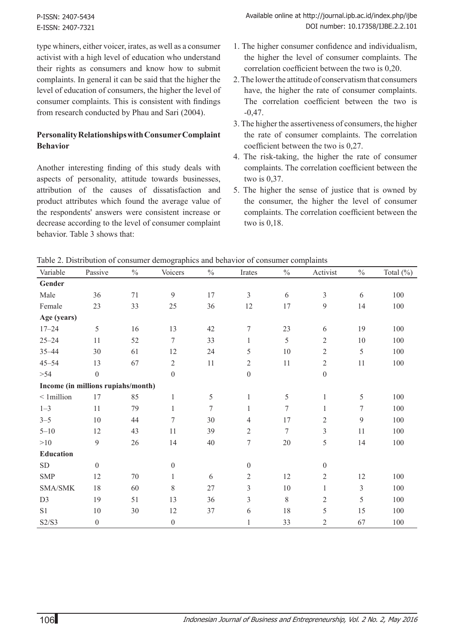P-ISSN: 2407-5434 E-ISSN: 2407-7321

type whiners, either voicer, irates, as well as a consumer activist with a high level of education who understand their rights as consumers and know how to submit complaints. In general it can be said that the higher the level of education of consumers, the higher the level of consumer complaints. This is consistent with findings from research conducted by Phau and Sari (2004).

## **Personality Relationships with Consumer Complaint Behavior**

Another interesting finding of this study deals with aspects of personality, attitude towards businesses, attribution of the causes of dissatisfaction and product attributes which found the average value of the respondents' answers were consistent increase or decrease according to the level of consumer complaint behavior. Table 3 shows that:

- 1. The higher consumer confidence and individualism, the higher the level of consumer complaints. The correlation coefficient between the two is 0,20.
- 2. The lower the attitude of conservatism that consumers have, the higher the rate of consumer complaints. The correlation coefficient between the two is -0,47.
- 3. The higher the assertiveness of consumers, the higher the rate of consumer complaints. The correlation coefficient between the two is 0,27.
- 4. The risk-taking, the higher the rate of consumer complaints. The correlation coefficient between the two is 0,37.
- 5. The higher the sense of justice that is owned by the consumer, the higher the level of consumer complaints. The correlation coefficient between the two is 0,18.

| Variable                           | Passive          | $\frac{0}{0}$ | Voicers          | $\frac{0}{0}$ | Irates           | $\frac{0}{0}$ | Activist         | $\frac{0}{0}$ | Total $(\%)$ |
|------------------------------------|------------------|---------------|------------------|---------------|------------------|---------------|------------------|---------------|--------------|
| Gender                             |                  |               |                  |               |                  |               |                  |               |              |
| Male                               | 36               | 71            | $\mathfrak{g}$   | 17            | 3                | 6             | $\overline{3}$   | 6             | 100          |
| Female                             | 23               | 33            | 25               | 36            | 12               | 17            | $\mathfrak{g}$   | 14            | 100          |
| Age (years)                        |                  |               |                  |               |                  |               |                  |               |              |
| $17 - 24$                          | 5                | 16            | 13               | 42            | $\tau$           | 23            | 6                | 19            | 100          |
| $25 - 24$                          | 11               | 52            | $\tau$           | 33            | 1                | 5             | $\mathfrak{2}$   | 10            | 100          |
| $35 - 44$                          | 30               | 61            | 12               | 24            | 5                | 10            | $\overline{2}$   | 5             | 100          |
| $45 - 54$                          | 13               | 67            | $\mathbf{2}$     | 11            | $\overline{2}$   | 11            | $\overline{2}$   | 11            | 100          |
| $>54$                              | $\overline{0}$   |               | $\boldsymbol{0}$ |               | $\boldsymbol{0}$ |               | $\boldsymbol{0}$ |               |              |
| Income (in millions rupiahs/month) |                  |               |                  |               |                  |               |                  |               |              |
| $< 1$ million                      | 17               | 85            | $\mathbf{1}$     | 5             | 1                | 5             | $\mathbf{1}$     | 5             | 100          |
| $1 - 3$                            | 11               | 79            | $\mathbf{1}$     | 7             | $\mathbf{1}$     | $\tau$        | $\mathbf{1}$     | 7             | 100          |
| $3 - 5$                            | 10               | 44            | $\boldsymbol{7}$ | 30            | $\overline{4}$   | 17            | $\overline{2}$   | 9             | 100          |
| $5 - 10$                           | 12               | 43            | 11               | 39            | $\overline{2}$   | 7             | $\overline{3}$   | 11            | 100          |
| >10                                | 9                | 26            | 14               | 40            | $\tau$           | 20            | 5                | 14            | 100          |
| <b>Education</b>                   |                  |               |                  |               |                  |               |                  |               |              |
| SD                                 | $\theta$         |               | $\boldsymbol{0}$ |               | $\boldsymbol{0}$ |               | $\boldsymbol{0}$ |               |              |
| <b>SMP</b>                         | 12               | 70            | $\mathbf{1}$     | 6             | $\overline{2}$   | 12            | $\overline{2}$   | 12            | 100          |
| SMA/SMK                            | 18               | 60            | $\,$ 8 $\,$      | $27\,$        | 3                | 10            | $\mathbf{1}$     | 3             | 100          |
| D <sub>3</sub>                     | 19               | 51            | 13               | 36            | 3                | 8             | $\overline{2}$   | 5             | 100          |
| S1                                 | 10               | 30            | 12               | 37            | 6                | 18            | 5                | 15            | 100          |
| S2/S3                              | $\boldsymbol{0}$ |               | $\boldsymbol{0}$ |               | $\mathbf{1}$     | 33            | $\overline{2}$   | 67            | 100          |

|  | Table 2. Distribution of consumer demographics and behavior of consumer complaints |  |  |
|--|------------------------------------------------------------------------------------|--|--|
|  |                                                                                    |  |  |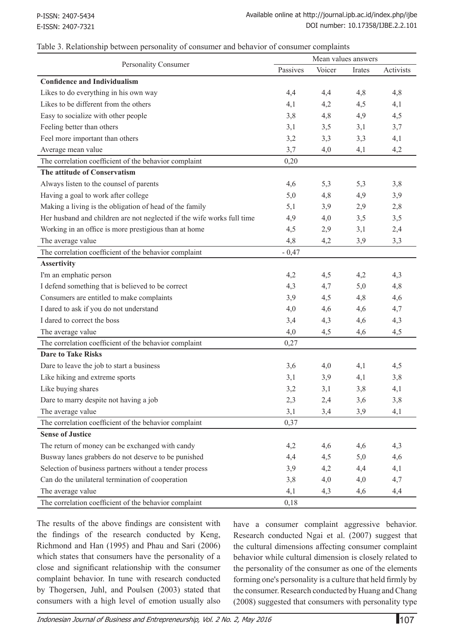|  | Table 3. Relationship between personality of consumer and behavior of consumer complaints |  |  |  |  |  |  |
|--|-------------------------------------------------------------------------------------------|--|--|--|--|--|--|
|--|-------------------------------------------------------------------------------------------|--|--|--|--|--|--|

|                                                                        | Mean values answers |        |        |           |  |  |
|------------------------------------------------------------------------|---------------------|--------|--------|-----------|--|--|
| <b>Personality Consumer</b>                                            | Passives            | Voicer | Irates | Activists |  |  |
| <b>Confidence and Individualism</b>                                    |                     |        |        |           |  |  |
| Likes to do everything in his own way                                  | 4,4                 | 4,4    | 4,8    | 4,8       |  |  |
| Likes to be different from the others                                  | 4,1                 | 4,2    | 4,5    | 4,1       |  |  |
| Easy to socialize with other people                                    | 3,8                 | 4,8    | 4,9    | 4,5       |  |  |
| Feeling better than others                                             | 3,1                 | 3,5    | 3,1    | 3,7       |  |  |
| Feel more important than others                                        | 3,2                 | 3,3    | 3,3    | 4,1       |  |  |
| Average mean value                                                     | 3,7                 | 4,0    | 4,1    | 4,2       |  |  |
| The correlation coefficient of the behavior complaint                  | 0,20                |        |        |           |  |  |
| The attitude of Conservatism                                           |                     |        |        |           |  |  |
| Always listen to the counsel of parents                                | 4,6                 | 5,3    | 5,3    | 3,8       |  |  |
| Having a goal to work after college                                    | 5,0                 | 4,8    | 4,9    | 3,9       |  |  |
| Making a living is the obligation of head of the family                | 5,1                 | 3,9    | 2,9    | 2,8       |  |  |
| Her husband and children are not neglected if the wife works full time | 4,9                 | 4,0    | 3,5    | 3,5       |  |  |
| Working in an office is more prestigious than at home                  | 4,5                 | 2,9    | 3,1    | 2,4       |  |  |
| The average value                                                      | 4,8                 | 4,2    | 3,9    | 3,3       |  |  |
| The correlation coefficient of the behavior complaint                  | $-0,47$             |        |        |           |  |  |
| <b>Assertivity</b>                                                     |                     |        |        |           |  |  |
| I'm an emphatic person                                                 | 4,2                 | 4,5    | 4,2    | 4,3       |  |  |
| I defend something that is believed to be correct                      | 4,3                 | 4,7    | 5,0    | 4,8       |  |  |
| Consumers are entitled to make complaints                              | 3,9                 | 4,5    | 4,8    | 4,6       |  |  |
| I dared to ask if you do not understand                                | 4,0                 | 4,6    | 4,6    | 4,7       |  |  |
| I dared to correct the boss                                            | 3,4                 | 4,3    | 4,6    | 4,3       |  |  |
| The average value                                                      | 4,0                 | 4,5    | 4,6    | 4,5       |  |  |
| The correlation coefficient of the behavior complaint                  | 0,27                |        |        |           |  |  |
| <b>Dare to Take Risks</b>                                              |                     |        |        |           |  |  |
| Dare to leave the job to start a business                              | 3,6                 | 4,0    | 4,1    | 4,5       |  |  |
| Like hiking and extreme sports                                         | 3,1                 | 3,9    | 4,1    | 3,8       |  |  |
| Like buying shares                                                     | 3,2                 | 3,1    | 3,8    | 4,1       |  |  |
| Dare to marry despite not having a job                                 | 2,3                 | 2,4    | 3,6    | 3,8       |  |  |
| The average value                                                      | 3,1                 | 3,4    | 3,9    | 4,1       |  |  |
| The correlation coefficient of the behavior complaint                  | 0,37                |        |        |           |  |  |
| <b>Sense of Justice</b>                                                |                     |        |        |           |  |  |
| The return of money can be exchanged with candy                        | 4,2                 | 4,6    | 4,6    | 4,3       |  |  |
| Busway lanes grabbers do not deserve to be punished                    | 4,4                 | 4,5    | 5,0    | 4,6       |  |  |
| Selection of business partners without a tender process                | 3,9                 | 4,2    | 4,4    | 4,1       |  |  |
| Can do the unilateral termination of cooperation                       | 3,8                 | 4,0    | 4,0    | 4,7       |  |  |
| The average value                                                      | 4,1                 | 4,3    | 4,6    | 4,4       |  |  |
| The correlation coefficient of the behavior complaint                  | 0,18                |        |        |           |  |  |

The results of the above findings are consistent with the findings of the research conducted by Keng, Richmond and Han (1995) and Phau and Sari (2006) which states that consumers have the personality of a close and significant relationship with the consumer complaint behavior. In tune with research conducted by Thogersen, Juhl, and Poulsen (2003) stated that consumers with a high level of emotion usually also

have a consumer complaint aggressive behavior. Research conducted Ngai et al. (2007) suggest that the cultural dimensions affecting consumer complaint behavior while cultural dimension is closely related to the personality of the consumer as one of the elements forming one's personality is a culture that held firmly by the consumer. Research conducted by Huang and Chang (2008) suggested that consumers with personality type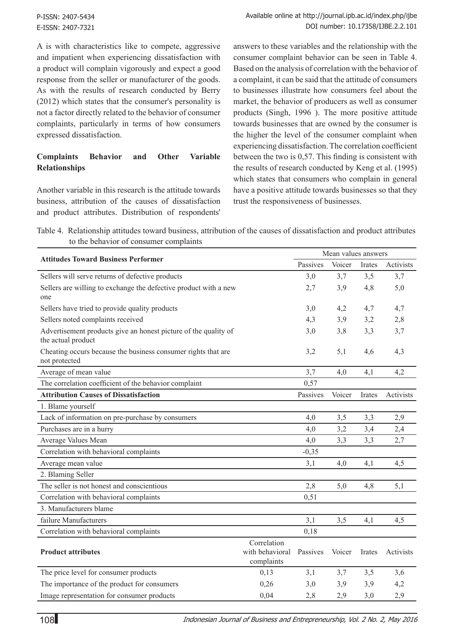A is with characteristics like to compete, aggressive and impatient when experiencing dissatisfaction with a product will complain vigorously and expect a good response from the seller or manufacturer of the goods. As with the results of research conducted by Berry (2012) which states that the consumer's personality is not a factor directly related to the behavior of consumer complaints, particularly in terms of how consumers expressed dissatisfaction.

# **Complaints Behavior and Other Variable Relationships**

Another variable in this research is the attitude towards business, attribution of the causes of dissatisfaction and product attributes. Distribution of respondents'

answers to these variables and the relationship with the consumer complaint behavior can be seen in Table 4. Based on the analysis of correlation with the behavior of a complaint, it can be said that the attitude of consumers to businesses illustrate how consumers feel about the market, the behavior of producers as well as consumer products (Singh, 1996 ). The more positive attitude towards businesses that are owned by the consumer is the higher the level of the consumer complaint when experiencing dissatisfaction. The correlation coefficient between the two is 0,57. This finding is consistent with the results of research conducted by Keng et al. (1995) which states that consumers who complain in general have a positive attitude towards businesses so that they trust the responsiveness of businesses.

Table 4. Relationship attitudes toward business, attribution of the causes of dissatisfaction and product attributes to the behavior of consumer complaints

| <b>Attitudes Toward Business Performer</b>                                            |                                              | Mean values answers |        |               |           |  |  |
|---------------------------------------------------------------------------------------|----------------------------------------------|---------------------|--------|---------------|-----------|--|--|
|                                                                                       |                                              | Passives            | Voicer | Irates        | Activists |  |  |
| Sellers will serve returns of defective products                                      |                                              | 3,0                 | 3,7    | 3,5           | 3,7       |  |  |
| Sellers are willing to exchange the defective product with a new                      |                                              | 2,7                 | 3,9    | 4,8           | 5,0       |  |  |
| one                                                                                   |                                              |                     |        |               |           |  |  |
| Sellers have tried to provide quality products                                        |                                              | 3,0                 | 4,2    | 4,7           | 4,7       |  |  |
| Sellers noted complaints received                                                     |                                              | 4,3                 | 3,9    | 3,2           | 2,8       |  |  |
| Advertisement products give an honest picture of the quality of<br>the actual product |                                              | 3,0                 | 3,8    | 3,3           | 3,7       |  |  |
| Cheating occurs because the business consumer rights that are<br>not protected        |                                              | 3,2                 | 5,1    | 4,6           | 4,3       |  |  |
| Average of mean value                                                                 |                                              | 3,7                 | 4,0    | 4,1           | 4,2       |  |  |
| The correlation coefficient of the behavior complaint                                 |                                              | 0,57                |        |               |           |  |  |
| <b>Attribution Causes of Dissatisfaction</b>                                          |                                              | Passives            | Voicer | Irates        | Activists |  |  |
| 1. Blame yourself                                                                     |                                              |                     |        |               |           |  |  |
| Lack of information on pre-purchase by consumers                                      |                                              | 4,0                 | 3,5    | 3,3           | 2,9       |  |  |
| Purchases are in a hurry                                                              |                                              | 4,0                 | 3,2    | 3,4           | 2,4       |  |  |
| Average Values Mean                                                                   |                                              | 4,0                 | 3,3    | 3,3           | 2,7       |  |  |
| Correlation with behavioral complaints                                                |                                              | $-0,35$             |        |               |           |  |  |
| Average mean value                                                                    |                                              | 3,1                 | 4,0    | 4,1           | 4,5       |  |  |
| 2. Blaming Seller                                                                     |                                              |                     |        |               |           |  |  |
| The seller is not honest and conscientious                                            |                                              | 2,8                 | 5,0    | 4,8           | 5,1       |  |  |
| Correlation with behavioral complaints                                                |                                              | 0,51                |        |               |           |  |  |
| 3. Manufacturers blame                                                                |                                              |                     |        |               |           |  |  |
| failure Manufacturers                                                                 |                                              | 3,1                 | 3,5    | 4,1           | 4,5       |  |  |
| Correlation with behavioral complaints                                                |                                              | 0,18                |        |               |           |  |  |
| <b>Product attributes</b>                                                             | Correlation<br>with behavioral<br>complaints | Passives            | Voicer | <b>Irates</b> | Activists |  |  |
| The price level for consumer products                                                 | 0,13                                         | 3,1                 | 3,7    | 3,5           | 3,6       |  |  |
| The importance of the product for consumers                                           | 0,26                                         | 3,0                 | 3,9    | 3,9           | 4,2       |  |  |
| Image representation for consumer products                                            | 0,04                                         | 2,8                 | 2,9    | 3,0           | 2,9       |  |  |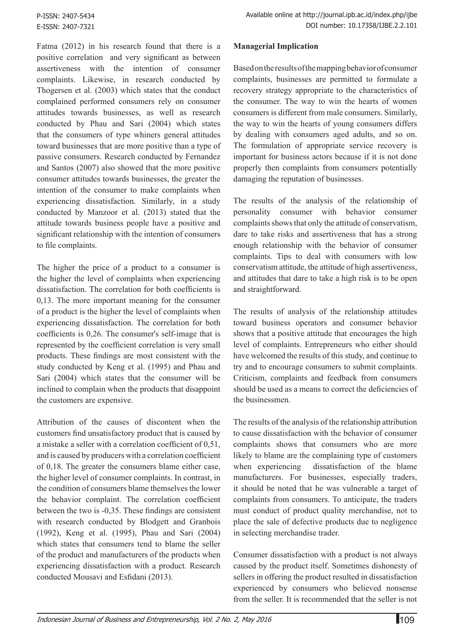P-ISSN: 2407-5434 E-ISSN: 2407-7321

Fatma (2012) in his research found that there is a positive correlation and very significant as between assertiveness with the intention of consumer complaints. Likewise, in research conducted by Thogersen et al. (2003) which states that the conduct complained performed consumers rely on consumer attitudes towards businesses, as well as research conducted by Phau and Sari (2004) which states that the consumers of type whiners general attitudes toward businesses that are more positive than a type of passive consumers. Research conducted by Fernandez and Santos (2007) also showed that the more positive consumer attitudes towards businesses, the greater the intention of the consumer to make complaints when experiencing dissatisfaction. Similarly, in a study conducted by Manzoor et al. (2013) stated that the attitude towards business people have a positive and significant relationship with the intention of consumers to file complaints.

The higher the price of a product to a consumer is the higher the level of complaints when experiencing dissatisfaction. The correlation for both coefficients is 0,13. The more important meaning for the consumer of a product is the higher the level of complaints when experiencing dissatisfaction. The correlation for both coefficients is 0,26. The consumer's self-image that is represented by the coefficient correlation is very small products. These findings are most consistent with the study conducted by Keng et al. (1995) and Phau and Sari (2004) which states that the consumer will be inclined to complain when the products that disappoint the customers are expensive.

Attribution of the causes of discontent when the customers find unsatisfactory product that is caused by a mistake a seller with a correlation coefficient of 0,51, and is caused by producers with a correlation coefficient of 0,18. The greater the consumers blame either case, the higher level of consumer complaints. In contrast, in the condition of consumers blame themselves the lower the behavior complaint. The correlation coefficient between the two is -0,35. These findings are consistent with research conducted by Blodgett and Granbois (1992), Keng et al. (1995), Phau and Sari (2004) which states that consumers tend to blame the seller of the product and manufacturers of the products when experiencing dissatisfaction with a product. Research conducted Mousavi and Esfidani (2013).

#### **Managerial Implication**

Based on the results of the mapping behavior of consumer complaints, businesses are permitted to formulate a recovery strategy appropriate to the characteristics of the consumer. The way to win the hearts of women consumers is different from male consumers. Similarly, the way to win the hearts of young consumers differs by dealing with consumers aged adults, and so on. The formulation of appropriate service recovery is important for business actors because if it is not done properly then complaints from consumers potentially damaging the reputation of businesses.

The results of the analysis of the relationship of personality consumer with behavior consumer complaints shows that only the attitude of conservatism, dare to take risks and assertiveness that has a strong enough relationship with the behavior of consumer complaints. Tips to deal with consumers with low conservatism attitude, the attitude of high assertiveness, and attitudes that dare to take a high risk is to be open and straightforward.

The results of analysis of the relationship attitudes toward business operators and consumer behavior shows that a positive attitude that encourages the high level of complaints. Entrepreneurs who either should have welcomed the results of this study, and continue to try and to encourage consumers to submit complaints. Criticism, complaints and feedback from consumers should be used as a means to correct the deficiencies of the businessmen.

The results of the analysis of the relationship attribution to cause dissatisfaction with the behavior of consumer complaints shows that consumers who are more likely to blame are the complaining type of customers when experiencing dissatisfaction of the blame manufacturers. For businesses, especially traders, it should be noted that he was vulnerable a target of complaints from consumers. To anticipate, the traders must conduct of product quality merchandise, not to place the sale of defective products due to negligence in selecting merchandise trader.

Consumer dissatisfaction with a product is not always caused by the product itself. Sometimes dishonesty of sellers in offering the product resulted in dissatisfaction experienced by consumers who believed nonsense from the seller. It is recommended that the seller is not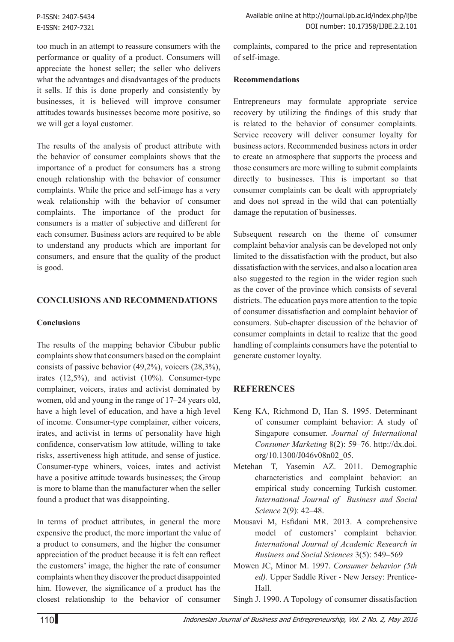too much in an attempt to reassure consumers with the performance or quality of a product. Consumers will appreciate the honest seller; the seller who delivers what the advantages and disadvantages of the products it sells. If this is done properly and consistently by businesses, it is believed will improve consumer attitudes towards businesses become more positive, so we will get a loyal customer.

The results of the analysis of product attribute with the behavior of consumer complaints shows that the importance of a product for consumers has a strong enough relationship with the behavior of consumer complaints. While the price and self-image has a very weak relationship with the behavior of consumer complaints. The importance of the product for consumers is a matter of subjective and different for each consumer. Business actors are required to be able to understand any products which are important for consumers, and ensure that the quality of the product is good.

## **CONCLUSIONS AND RECOMMENDATIONS**

#### **Conclusions**

The results of the mapping behavior Cibubur public complaints show that consumers based on the complaint consists of passive behavior (49,2%), voicers (28,3%), irates (12,5%), and activist (10%). Consumer-type complainer, voicers, irates and activist dominated by women, old and young in the range of 17–24 years old, have a high level of education, and have a high level of income. Consumer-type complainer, either voicers, irates, and activist in terms of personality have high confidence, conservatism low attitude, willing to take risks, assertiveness high attitude, and sense of justice. Consumer-type whiners, voices, irates and activist have a positive attitude towards businesses; the Group is more to blame than the manufacturer when the seller found a product that was disappointing.

In terms of product attributes, in general the more expensive the product, the more important the value of a product to consumers, and the higher the consumer appreciation of the product because it is felt can reflect the customers' image, the higher the rate of consumer complaints when they discover the product disappointed him. However, the significance of a product has the closest relationship to the behavior of consumer complaints, compared to the price and representation of self-image.

#### **Recommendations**

Entrepreneurs may formulate appropriate service recovery by utilizing the findings of this study that is related to the behavior of consumer complaints. Service recovery will deliver consumer loyalty for business actors. Recommended business actors in order to create an atmosphere that supports the process and those consumers are more willing to submit complaints directly to businesses. This is important so that consumer complaints can be dealt with appropriately and does not spread in the wild that can potentially damage the reputation of businesses.

Subsequent research on the theme of consumer complaint behavior analysis can be developed not only limited to the dissatisfaction with the product, but also dissatisfaction with the services, and also a location area also suggested to the region in the wider region such as the cover of the province which consists of several districts. The education pays more attention to the topic of consumer dissatisfaction and complaint behavior of consumers. Sub-chapter discussion of the behavior of consumer complaints in detail to realize that the good handling of complaints consumers have the potential to generate customer loyalty.

## **REFERENCES**

- Keng KA, Richmond D, Han S. 1995. Determinant of consumer complaint behavior: A study of Singapore consumer. *Journal of International Consumer Marketing* 8(2): 59–76. http://dx.doi. org/10.1300/J046v08n02\_05.
- Metehan T, Yasemin AZ. 2011. Demographic characteristics and complaint behavior: an empirical study concerning Turkish customer. *International Journal of Business and Social Science* 2(9): 42–48.
- Mousavi M, Esfidani MR. 2013. A comprehensive model of customers' complaint behavior. *International Journal of Academic Research in Business and Social Sciences* 3(5): 549–569
- Mowen JC, Minor M. 1997. *Consumer behavior (5th ed).* Upper Saddle River - New Jersey: Prentice-Hall.

Singh J. 1990. A Topology of consumer dissatisfaction